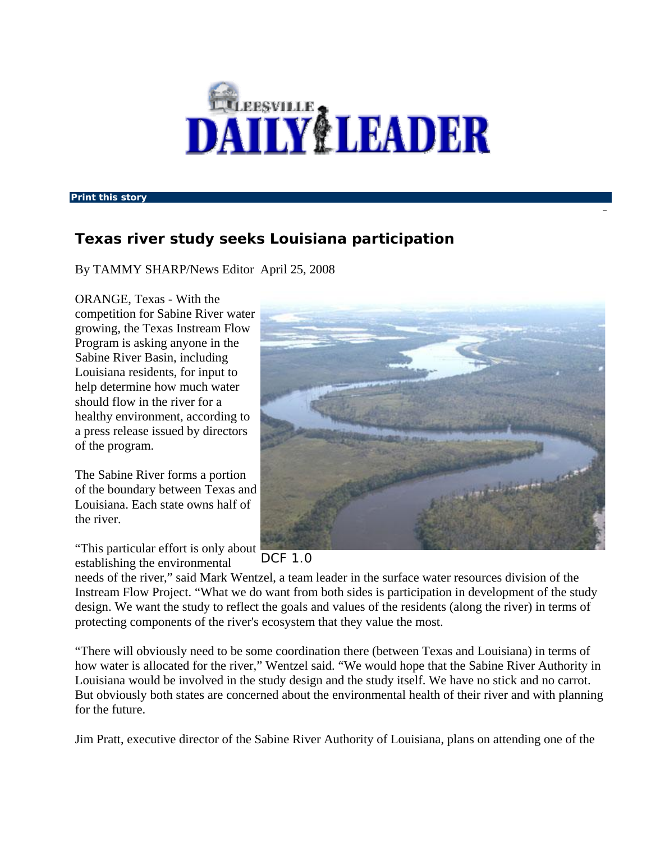

**Print this story** 

## **Texas river study seeks Louisiana participation**

By TAMMY SHARP/News Editor April 25, 2008

ORANGE, Texas - With the competition for Sabine River water growing, the Texas Instream Flow Program is asking anyone in the Sabine River Basin, including Louisiana residents, for input to help determine how much water should flow in the river for a healthy environment, according to a press release issued by directors of the program.

The Sabine River forms a portion of the boundary between Texas and Louisiana. Each state owns half of the river.

"This particular effort is only about establishing the environmental



DCF 1.0

needs of the river," said Mark Wentzel, a team leader in the surface water resources division of the Instream Flow Project. "What we do want from both sides is participation in development of the study design. We want the study to reflect the goals and values of the residents (along the river) in terms of protecting components of the river's ecosystem that they value the most.

"There will obviously need to be some coordination there (between Texas and Louisiana) in terms of how water is allocated for the river," Wentzel said. "We would hope that the Sabine River Authority in Louisiana would be involved in the study design and the study itself. We have no stick and no carrot. But obviously both states are concerned about the environmental health of their river and with planning for the future.

Jim Pratt, executive director of the Sabine River Authority of Louisiana, plans on attending one of the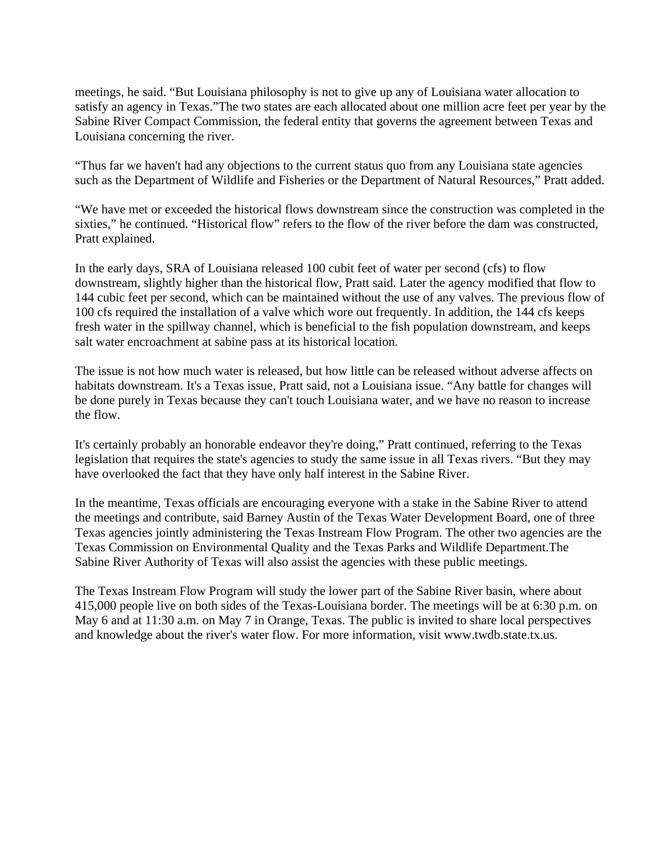meetings, he said. "But Louisiana philosophy is not to give up any of Louisiana water allocation to satisfy an agency in Texas."The two states are each allocated about one million acre feet per year by the Sabine River Compact Commission, the federal entity that governs the agreement between Texas and Louisiana concerning the river.

"Thus far we haven't had any objections to the current status quo from any Louisiana state agencies such as the Department of Wildlife and Fisheries or the Department of Natural Resources," Pratt added.

"We have met or exceeded the historical flows downstream since the construction was completed in the sixties," he continued. "Historical flow" refers to the flow of the river before the dam was constructed, Pratt explained.

In the early days, SRA of Louisiana released 100 cubit feet of water per second (cfs) to flow downstream, slightly higher than the historical flow, Pratt said. Later the agency modified that flow to 144 cubic feet per second, which can be maintained without the use of any valves. The previous flow of 100 cfs required the installation of a valve which wore out frequently. In addition, the 144 cfs keeps fresh water in the spillway channel, which is beneficial to the fish population downstream, and keeps salt water encroachment at sabine pass at its historical location.

The issue is not how much water is released, but how little can be released without adverse affects on habitats downstream. It's a Texas issue, Pratt said, not a Louisiana issue. "Any battle for changes will be done purely in Texas because they can't touch Louisiana water, and we have no reason to increase the flow.

It's certainly probably an honorable endeavor they're doing," Pratt continued, referring to the Texas legislation that requires the state's agencies to study the same issue in all Texas rivers. "But they may have overlooked the fact that they have only half interest in the Sabine River.

In the meantime, Texas officials are encouraging everyone with a stake in the Sabine River to attend the meetings and contribute, said Barney Austin of the Texas Water Development Board, one of three Texas agencies jointly administering the Texas Instream Flow Program. The other two agencies are the Texas Commission on Environmental Quality and the Texas Parks and Wildlife Department.The Sabine River Authority of Texas will also assist the agencies with these public meetings.

The Texas Instream Flow Program will study the lower part of the Sabine River basin, where about 415,000 people live on both sides of the Texas-Louisiana border. The meetings will be at 6:30 p.m. on May 6 and at 11:30 a.m. on May 7 in Orange, Texas. The public is invited to share local perspectives and knowledge about the river's water flow. For more information, visit www.twdb.state.tx.us.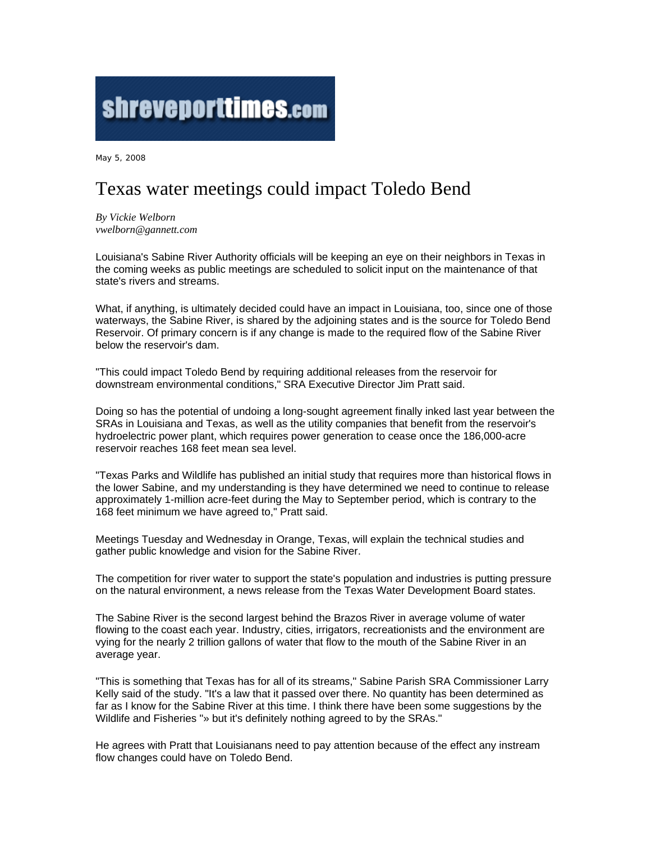## shreveporttimes.com

May 5, 2008

## Texas water meetings could impact Toledo Bend

*By Vickie Welborn vwelborn@gannett.com*

Louisiana's Sabine River Authority officials will be keeping an eye on their neighbors in Texas in the coming weeks as public meetings are scheduled to solicit input on the maintenance of that state's rivers and streams.

What, if anything, is ultimately decided could have an impact in Louisiana, too, since one of those waterways, the Sabine River, is shared by the adjoining states and is the source for Toledo Bend Reservoir. Of primary concern is if any change is made to the required flow of the Sabine River below the reservoir's dam.

"This could impact Toledo Bend by requiring additional releases from the reservoir for downstream environmental conditions," SRA Executive Director Jim Pratt said.

Doing so has the potential of undoing a long-sought agreement finally inked last year between the SRAs in Louisiana and Texas, as well as the utility companies that benefit from the reservoir's hydroelectric power plant, which requires power generation to cease once the 186,000-acre reservoir reaches 168 feet mean sea level.

"Texas Parks and Wildlife has published an initial study that requires more than historical flows in the lower Sabine, and my understanding is they have determined we need to continue to release approximately 1-million acre-feet during the May to September period, which is contrary to the 168 feet minimum we have agreed to," Pratt said.

Meetings Tuesday and Wednesday in Orange, Texas, will explain the technical studies and gather public knowledge and vision for the Sabine River.

The competition for river water to support the state's population and industries is putting pressure on the natural environment, a news release from the Texas Water Development Board states.

The Sabine River is the second largest behind the Brazos River in average volume of water flowing to the coast each year. Industry, cities, irrigators, recreationists and the environment are vying for the nearly 2 trillion gallons of water that flow to the mouth of the Sabine River in an average year.

"This is something that Texas has for all of its streams," Sabine Parish SRA Commissioner Larry Kelly said of the study. "It's a law that it passed over there. No quantity has been determined as far as I know for the Sabine River at this time. I think there have been some suggestions by the Wildlife and Fisheries "» but it's definitely nothing agreed to by the SRAs."

He agrees with Pratt that Louisianans need to pay attention because of the effect any instream flow changes could have on Toledo Bend.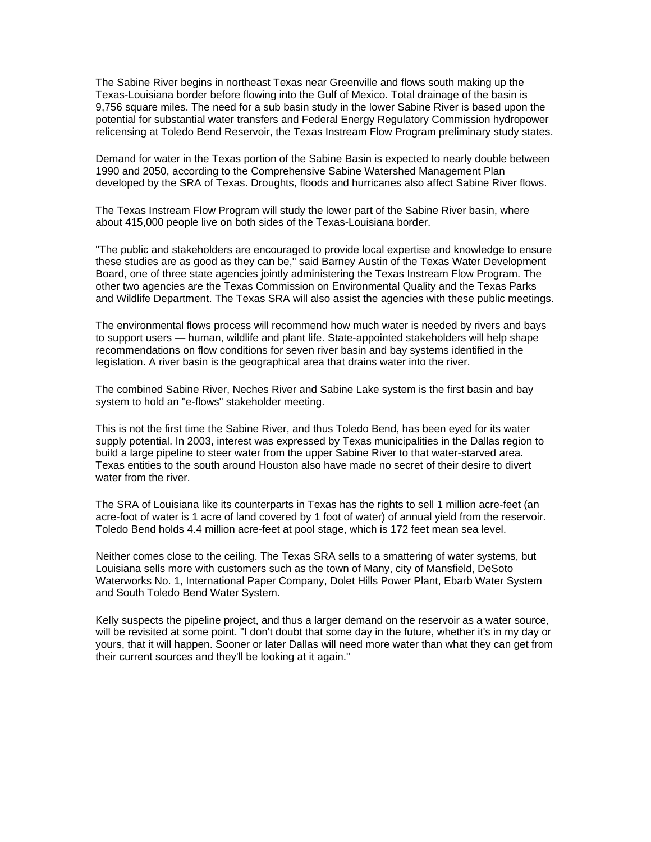The Sabine River begins in northeast Texas near Greenville and flows south making up the Texas-Louisiana border before flowing into the Gulf of Mexico. Total drainage of the basin is 9,756 square miles. The need for a sub basin study in the lower Sabine River is based upon the potential for substantial water transfers and Federal Energy Regulatory Commission hydropower relicensing at Toledo Bend Reservoir, the Texas Instream Flow Program preliminary study states.

Demand for water in the Texas portion of the Sabine Basin is expected to nearly double between 1990 and 2050, according to the Comprehensive Sabine Watershed Management Plan developed by the SRA of Texas. Droughts, floods and hurricanes also affect Sabine River flows.

The Texas Instream Flow Program will study the lower part of the Sabine River basin, where about 415,000 people live on both sides of the Texas-Louisiana border.

"The public and stakeholders are encouraged to provide local expertise and knowledge to ensure these studies are as good as they can be," said Barney Austin of the Texas Water Development Board, one of three state agencies jointly administering the Texas Instream Flow Program. The other two agencies are the Texas Commission on Environmental Quality and the Texas Parks and Wildlife Department. The Texas SRA will also assist the agencies with these public meetings.

The environmental flows process will recommend how much water is needed by rivers and bays to support users — human, wildlife and plant life. State-appointed stakeholders will help shape recommendations on flow conditions for seven river basin and bay systems identified in the legislation. A river basin is the geographical area that drains water into the river.

The combined Sabine River, Neches River and Sabine Lake system is the first basin and bay system to hold an "e-flows" stakeholder meeting.

This is not the first time the Sabine River, and thus Toledo Bend, has been eyed for its water supply potential. In 2003, interest was expressed by Texas municipalities in the Dallas region to build a large pipeline to steer water from the upper Sabine River to that water-starved area. Texas entities to the south around Houston also have made no secret of their desire to divert water from the river.

The SRA of Louisiana like its counterparts in Texas has the rights to sell 1 million acre-feet (an acre-foot of water is 1 acre of land covered by 1 foot of water) of annual yield from the reservoir. Toledo Bend holds 4.4 million acre-feet at pool stage, which is 172 feet mean sea level.

Neither comes close to the ceiling. The Texas SRA sells to a smattering of water systems, but Louisiana sells more with customers such as the town of Many, city of Mansfield, DeSoto Waterworks No. 1, International Paper Company, Dolet Hills Power Plant, Ebarb Water System and South Toledo Bend Water System.

Kelly suspects the pipeline project, and thus a larger demand on the reservoir as a water source, will be revisited at some point. "I don't doubt that some day in the future, whether it's in my day or yours, that it will happen. Sooner or later Dallas will need more water than what they can get from their current sources and they'll be looking at it again."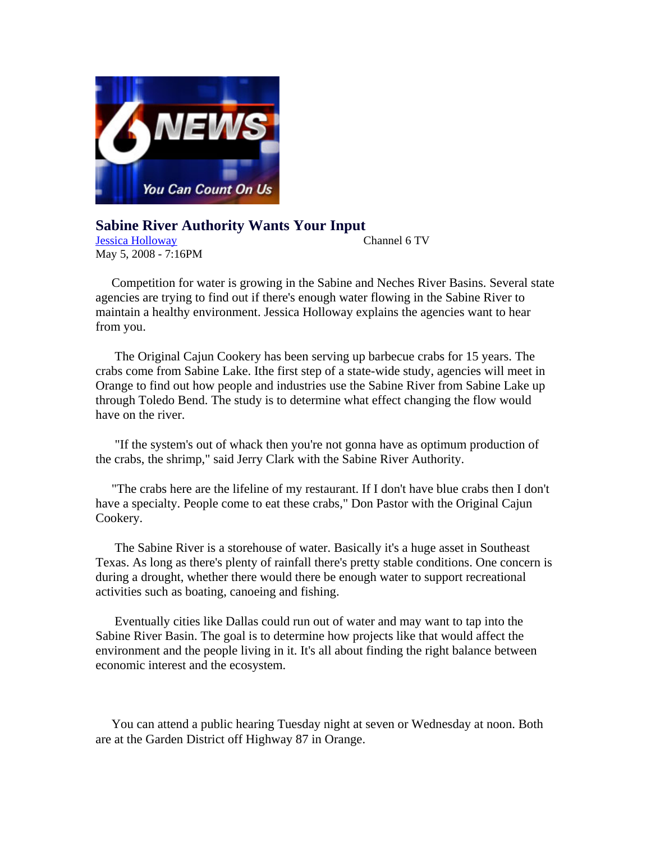

**Sabine River Authority Wants Your Input**  Jessica Holloway Channel 6 TV May 5, 2008 - 7:16PM

 Competition for water is growing in the Sabine and Neches River Basins. Several state agencies are trying to find out if there's enough water flowing in the Sabine River to maintain a healthy environment. Jessica Holloway explains the agencies want to hear from you.

 The Original Cajun Cookery has been serving up barbecue crabs for 15 years. The crabs come from Sabine Lake. Ithe first step of a state-wide study, agencies will meet in Orange to find out how people and industries use the Sabine River from Sabine Lake up through Toledo Bend. The study is to determine what effect changing the flow would have on the river.

 "If the system's out of whack then you're not gonna have as optimum production of the crabs, the shrimp," said Jerry Clark with the Sabine River Authority.

 "The crabs here are the lifeline of my restaurant. If I don't have blue crabs then I don't have a specialty. People come to eat these crabs," Don Pastor with the Original Cajun Cookery.

 The Sabine River is a storehouse of water. Basically it's a huge asset in Southeast Texas. As long as there's plenty of rainfall there's pretty stable conditions. One concern is during a drought, whether there would there be enough water to support recreational activities such as boating, canoeing and fishing.

 Eventually cities like Dallas could run out of water and may want to tap into the Sabine River Basin. The goal is to determine how projects like that would affect the environment and the people living in it. It's all about finding the right balance between economic interest and the ecosystem.

 You can attend a public hearing Tuesday night at seven or Wednesday at noon. Both are at the Garden District off Highway 87 in Orange.